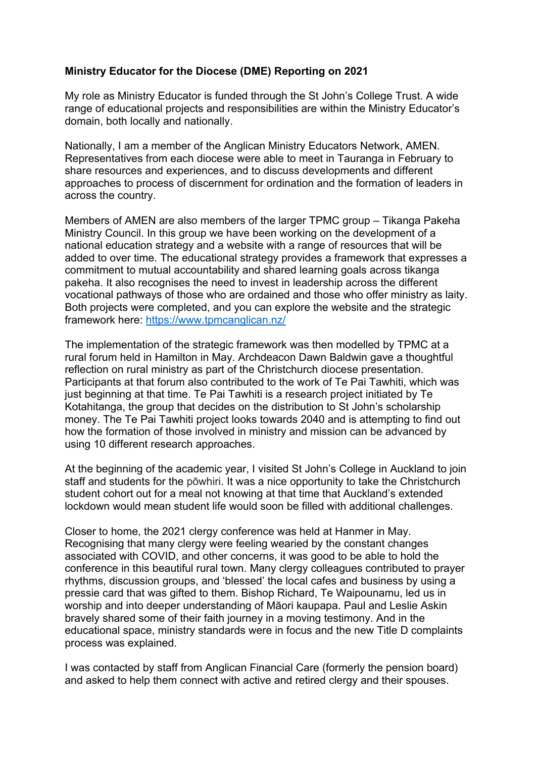## **Ministry Educator for the Diocese (DME) Reporting on 2021**

My role as Ministry Educator is funded through the St John's College Trust. A wide range of educational projects and responsibilities are within the Ministry Educator's domain, both locally and nationally.

Nationally, I am a member of the Anglican Ministry Educators Network, AMEN. Representatives from each diocese were able to meet in Tauranga in February to share resources and experiences, and to discuss developments and different approaches to process of discernment for ordination and the formation of leaders in across the country.

Members of AMEN are also members of the larger TPMC group – Tikanga Pakeha Ministry Council. In this group we have been working on the development of a national education strategy and a website with a range of resources that will be added to over time. The educational strategy provides a framework that expresses a commitment to mutual accountability and shared learning goals across tikanga pakeha. It also recognises the need to invest in leadership across the different vocational pathways of those who are ordained and those who offer ministry as laity. Both projects were completed, and you can explore the website and the strategic framework here: https://www.tpmcanglican.nz/

The implementation of the strategic framework was then modelled by TPMC at a rural forum held in Hamilton in May. Archdeacon Dawn Baldwin gave a thoughtful reflection on rural ministry as part of the Christchurch diocese presentation. Participants at that forum also contributed to the work of Te Pai Tawhiti, which was just beginning at that time. Te Pai Tawhiti is a research project initiated by Te Kotahitanga, the group that decides on the distribution to St John's scholarship money. The Te Pai Tawhiti project looks towards 2040 and is attempting to find out how the formation of those involved in ministry and mission can be advanced by using 10 different research approaches.

At the beginning of the academic year, I visited St John's College in Auckland to join staff and students for the pōwhiri. It was a nice opportunity to take the Christchurch student cohort out for a meal not knowing at that time that Auckland's extended lockdown would mean student life would soon be filled with additional challenges.

Closer to home, the 2021 clergy conference was held at Hanmer in May. Recognising that many clergy were feeling wearied by the constant changes associated with COVID, and other concerns, it was good to be able to hold the conference in this beautiful rural town. Many clergy colleagues contributed to prayer rhythms, discussion groups, and 'blessed' the local cafes and business by using a pressie card that was gifted to them. Bishop Richard, Te Waipounamu, led us in worship and into deeper understanding of Māori kaupapa. Paul and Leslie Askin bravely shared some of their faith journey in a moving testimony. And in the educational space, ministry standards were in focus and the new Title D complaints process was explained.

I was contacted by staff from Anglican Financial Care (formerly the pension board) and asked to help them connect with active and retired clergy and their spouses.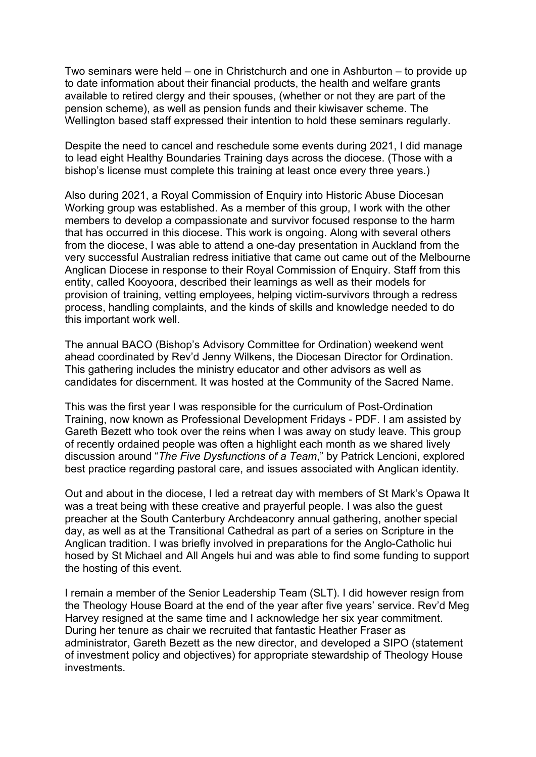Two seminars were held – one in Christchurch and one in Ashburton – to provide up to date information about their financial products, the health and welfare grants available to retired clergy and their spouses, (whether or not they are part of the pension scheme), as well as pension funds and their kiwisaver scheme. The Wellington based staff expressed their intention to hold these seminars regularly.

Despite the need to cancel and reschedule some events during 2021, I did manage to lead eight Healthy Boundaries Training days across the diocese. (Those with a bishop's license must complete this training at least once every three years.)

Also during 2021, a Royal Commission of Enquiry into Historic Abuse Diocesan Working group was established. As a member of this group, I work with the other members to develop a compassionate and survivor focused response to the harm that has occurred in this diocese. This work is ongoing. Along with several others from the diocese, I was able to attend a one-day presentation in Auckland from the very successful Australian redress initiative that came out came out of the Melbourne Anglican Diocese in response to their Royal Commission of Enquiry. Staff from this entity, called Kooyoora, described their learnings as well as their models for provision of training, vetting employees, helping victim-survivors through a redress process, handling complaints, and the kinds of skills and knowledge needed to do this important work well.

The annual BACO (Bishop's Advisory Committee for Ordination) weekend went ahead coordinated by Rev'd Jenny Wilkens, the Diocesan Director for Ordination. This gathering includes the ministry educator and other advisors as well as candidates for discernment. It was hosted at the Community of the Sacred Name.

This was the first year I was responsible for the curriculum of Post-Ordination Training, now known as Professional Development Fridays - PDF. I am assisted by Gareth Bezett who took over the reins when I was away on study leave. This group of recently ordained people was often a highlight each month as we shared lively discussion around "*The Five Dysfunctions of a Team*," by Patrick Lencioni, explored best practice regarding pastoral care, and issues associated with Anglican identity.

Out and about in the diocese, I led a retreat day with members of St Mark's Opawa It was a treat being with these creative and prayerful people. I was also the guest preacher at the South Canterbury Archdeaconry annual gathering, another special day, as well as at the Transitional Cathedral as part of a series on Scripture in the Anglican tradition. I was briefly involved in preparations for the Anglo-Catholic hui hosed by St Michael and All Angels hui and was able to find some funding to support the hosting of this event.

I remain a member of the Senior Leadership Team (SLT). I did however resign from the Theology House Board at the end of the year after five years' service. Rev'd Meg Harvey resigned at the same time and I acknowledge her six year commitment. During her tenure as chair we recruited that fantastic Heather Fraser as administrator, Gareth Bezett as the new director, and developed a SIPO (statement of investment policy and objectives) for appropriate stewardship of Theology House investments.